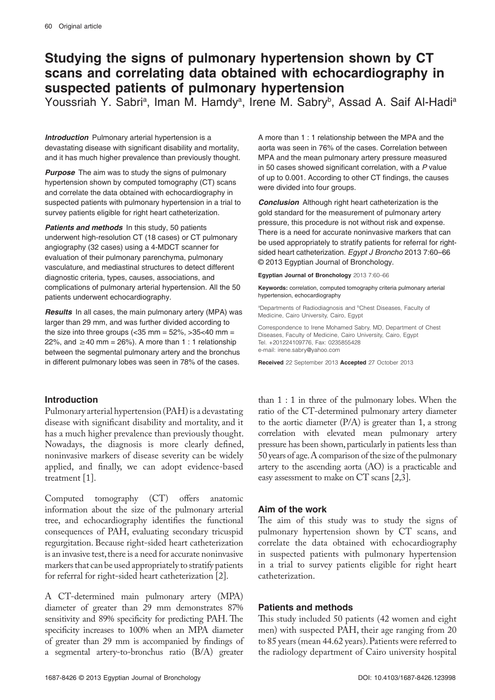# **Studying the signs of pulmonary hypertension shown by CT scans and correlating data obtained with echocardiography in suspected patients of pulmonary hypertension**

Youssriah Y. Sabri<sup>a</sup>, Iman M. Hamdy<sup>a</sup>, Irene M. Sabry<sup>b</sup>, Assad A. Saif Al-Hadi<sup>a</sup>

**Introduction** Pulmonary arterial hypertension is a devastating disease with significant disability and mortality, and it has much higher prevalence than previously thought.

**Purpose** The aim was to study the signs of pulmonary hypertension shown by computed tomography (CT) scans and correlate the data obtained with echocardiography in suspected patients with pulmonary hypertension in a trial to survey patients eligible for right heart catheterization.

**Patients and methods** In this study, 50 patients underwent high-resolution CT (18 cases) or CT pulmonary angiography (32 cases) using a 4-MDCT scanner for evaluation of their pulmonary parenchyma, pulmonary vasculature, and mediastinal structures to detect different diagnostic criteria, types, causes, associations, and complications of pulmonary arterial hypertension. All the 50 patients underwent echocardiography.

**Results** In all cases, the main pulmonary artery (MPA) was larger than 29 mm, and was further divided according to the size into three groups (<35 mm =  $52\%$ , > $35<40$  mm = 22%, and  $\geq$  40 mm = 26%). A more than 1 : 1 relationship between the segmental pulmonary artery and the bronchus in different pulmonary lobes was seen in 78% of the cases.

# **Introduction**

Pulmonary arterial hypertension (PAH) is a devastating disease with significant disability and mortality, and it has a much higher prevalence than previously thought. Nowadays, the diagnosis is more clearly defined, noninvasive markers of disease severity can be widely applied, and finally, we can adopt evidence-based treatment [1].

Computed tomography (CT) offers anatomic information about the size of the pulmonary arterial tree, and echocardiography identifies the functional consequences of PAH, evaluating secondary tricuspid regurgitation. Because right-sided heart catheterization is an invasive test, there is a need for accurate noninvasive markers that can be used appropriately to stratify patients for referral for right-sided heart catheterization [2].

A CT-determined main pulmonary artery (MPA) diameter of greater than 29 mm demonstrates 87% sensitivity and 89% specificity for predicting PAH. The specificity increases to 100% when an MPA diameter of greater than 29 mm is accompanied by findings of a segmental artery-to-bronchus ratio (B/A) greater

A more than 1 : 1 relationship between the MPA and the aorta was seen in 76% of the cases. Correlation between MPA and the mean pulmonary artery pressure measured in 50 cases showed significant correlation, with a *P* value of up to 0.001. According to other CT findings, the causes were divided into four groups.

**Conclusion** Although right heart catheterization is the gold standard for the measurement of pulmonary artery pressure, this procedure is not without risk and expense. There is a need for accurate noninvasive markers that can be used appropriately to stratify patients for referral for rightsided heart catheterization. *Egypt J Broncho* 2013 7:60–66 © 2013 Egyptian Journal of Bronchology.

**Egyptian Journal of Bronchology** 2013 7:60–66

**Keywords:** correlation, computed tomography criteria pulmonary arterial hypertension, echocardiography

<sup>a</sup>Departments of Radiodiagnosis and <sup>b</sup>Chest Diseases, Faculty of Medicine, Cairo University, Cairo, Egypt

Correspondence to Irene Mohamed Sabry, MD, Department of Chest Diseases, Faculty of Medicine, Cairo University, Cairo, Egypt Tel. +201224109776, Fax: 0235855428 e-mail: irene.sabry@yahoo.com

**Received** 22 September 2013 **Accepted** 27 October 2013

than 1 : 1 in three of the pulmonary lobes. When the ratio of the CT-determined pulmonary artery diameter to the aortic diameter (P/A) is greater than 1, a strong correlation with elevated mean pulmonary artery pressure has been shown, particularly in patients less than 50 years of age. A comparison of the size of the pulmonary artery to the ascending aorta (AO) is a practicable and easy assessment to make on CT scans [2,3].

# **Aim of the work**

The aim of this study was to study the signs of pulmonary hypertension shown by CT scans, and correlate the data obtained with echocardiography in suspected patients with pulmonary hypertension in a trial to survey patients eligible for right heart catheterization.

# **Patients and methods**

This study included 50 patients (42 women and eight men) with suspected PAH, their age ranging from 20 to 85 years (mean 44.62 years). Patients were referred to the radiology department of Cairo university hospital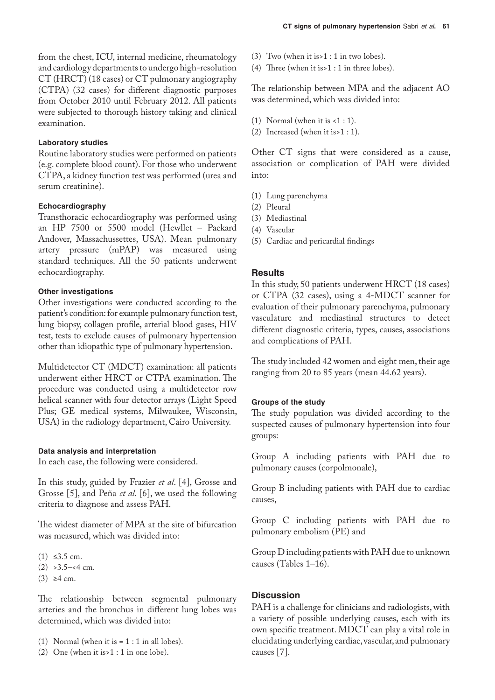from the chest, ICU, internal medicine, rheumatology and cardiology departments to undergo high-resolution CT (HRCT) (18 cases) or CT pulmonary angiography (CTPA) (32 cases) for different diagnostic purposes from October 2010 until February 2012. All patients were subjected to thorough history taking and clinical examination.

### **Laboratory studies**

Routine laboratory studies were performed on patients (e.g. complete blood count). For those who underwent CTPA, a kidney function test was performed (urea and serum creatinine).

### **Echocardiography**

Transthoracic echocardiography was performed using an HP 7500 or 5500 model (Hewllet – Packard Andover, Massachussettes, USA). Mean pulmonary artery pressure (mPAP) was measured using standard techniques. All the 50 patients underwent echocardiography.

## **Other investigations**

Other investigations were conducted according to the patient's condition: for example pulmonary function test, lung biopsy, collagen profile, arterial blood gases, HIV test, tests to exclude causes of pulmonary hypertension other than idiopathic type of pulmonary hypertension.

Multidetector CT (MDCT) examination: all patients underwent either HRCT or CTPA examination. The procedure was conducted using a multidetector row helical scanner with four detector arrays (Light Speed Plus; GE medical systems, Milwaukee, Wisconsin, USA) in the radiology department, Cairo University.

### **Data analysis and interpretation**

In each case, the following were considered.

In this study, guided by Frazier *et al*. [4], Grosse and Grosse [5], and Peña *et al*. [6], we used the following criteria to diagnose and assess PAH.

The widest diameter of MPA at the site of bifurcation was measured, which was divided into:

- $(1) ≤3.5 cm.$
- $(2)$  > 3.5–<4 cm.
- $(3)$  ≥4 cm.

The relationship between segmental pulmonary arteries and the bronchus in different lung lobes was determined, which was divided into:

- (1) Normal (when it is  $= 1 : 1$  in all lobes).
- (2) One (when it is>1 : 1 in one lobe).
- (3) Two (when it is>1 : 1 in two lobes).
- (4) Three (when it is>1 : 1 in three lobes).

The relationship between MPA and the adjacent AO was determined, which was divided into:

- (1) Normal (when it is  $<1:1$ ).
- (2) Increased (when it is>1 : 1).

Other CT signs that were considered as a cause, association or complication of PAH were divided into:

- (1) Lung parenchyma
- (2) Pleural
- (3) Mediastinal
- (4) Vascular
- (5) Cardiac and pericardial findings

### **Results**

In this study, 50 patients underwent HRCT (18 cases) or CTPA (32 cases), using a 4-MDCT scanner for evaluation of their pulmonary parenchyma, pulmonary vasculature and mediastinal structures to detect different diagnostic criteria, types, causes, associations and complications of PAH.

The study included 42 women and eight men, their age ranging from 20 to 85 years (mean 44.62 years).

### **Groups of the study**

The study population was divided according to the suspected causes of pulmonary hypertension into four groups:

Group A including patients with PAH due to pulmonary causes (corpolmonale),

Group B including patients with PAH due to cardiac causes,

Group C including patients with PAH due to pulmonary embolism (PE) and

Group D including patients with PAH due to unknown causes (Tables 1–16).

# **Discussion**

PAH is a challenge for clinicians and radiologists, with a variety of possible underlying causes, each with its own specific treatment. MDCT can play a vital role in elucidating underlying cardiac, vascular, and pulmonary causes [7].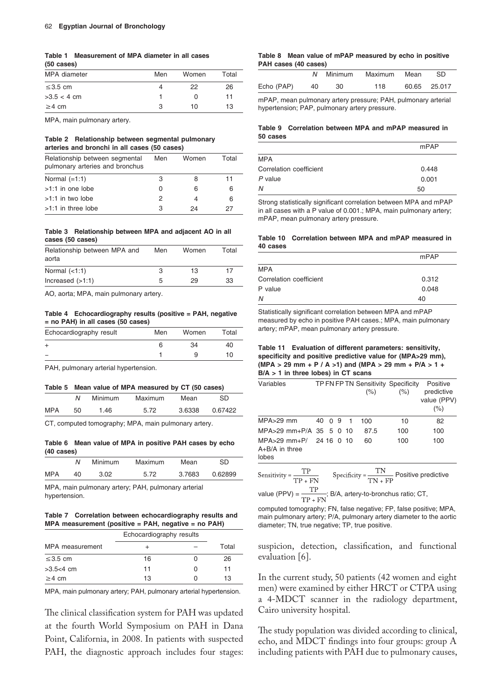#### **Table 1 Measurement of MPA diameter in all cases (50 cases)**

| MPA diameter  | Men | Women            | Total |
|---------------|-----|------------------|-------|
| $\leq$ 3.5 cm | 4   | 22               | 26    |
| $>3.5 < 4$ cm |     | $\left( \right)$ | 11    |
| $\geq$ 4 cm   | 3   | 10               | 13    |

MPA, main pulmonary artery.

#### **Table 2 Relationship between segmental pulmonary arteries and bronchi in all cases (50 cases)**

| Relationship between segmental<br>pulmonary arteries and bronchus | Men          | Women | Total |
|-------------------------------------------------------------------|--------------|-------|-------|
| Normal $(=1:1)$                                                   | З            | 8     | 11    |
| >1:1 in one lobe                                                  | $\mathbf{I}$ | 6     | 6     |
| $>1:1$ in two lobe                                                | 2            |       | 6     |
| $>1:1$ in three lobe                                              | З            | 24    | 27    |

#### **Table 3 Relationship between MPA and adjacent AO in all cases (50 cases)**

|   | Women | Total |
|---|-------|-------|
| З | 13    | 17    |
| 5 | 29    | 33    |
|   | Men   |       |

AO, aorta; MPA, main pulmonary artery.

#### **Table 4 Echocardiography results (positive = PAH, negative = no PAH) in all cases (50 cases)**

| Echocardiography result | Men | Women | Total |
|-------------------------|-----|-------|-------|
|                         | 6   | 34    | 40    |
|                         |     |       | 10.   |
|                         |     |       |       |

PAH, pulmonary arterial hypertension.

|            | Table 5 Mean value of MPA measured by CT (50 cases) |         |         |        |         |  |  |
|------------|-----------------------------------------------------|---------|---------|--------|---------|--|--|
|            | N                                                   | Minimum | Maximum | Mean   | SD.     |  |  |
| <b>MPA</b> | 50                                                  | 1.46    | 5.72    | 3.6338 | 0.67422 |  |  |

CT, computed tomography; MPA, main pulmonary artery.

#### **Table 6 Mean value of MPA in positive PAH cases by echo (40 cases)**

|            | N  | Minimum | <b>Maximum</b> | Mean   | SD      |
|------------|----|---------|----------------|--------|---------|
| <b>MPA</b> | 40 | 3.02    | 5.72           | 3.7683 | 0.62899 |

MPA, main pulmonary artery; PAH, pulmonary arterial hypertension.

#### **Table 7 Correlation between echocardiography results and MPA measurement (positive = PAH, negative = no PAH)**

|                 | Echocardiography results |                  |       |  |
|-----------------|--------------------------|------------------|-------|--|
| MPA measurement |                          |                  | Total |  |
| $\leq$ 3.5 cm   | 16                       |                  | 26    |  |
| $>3.5<4$ cm     | 11                       | $\left( \right)$ | 11    |  |
| $\geq$ 4 cm     | 13                       |                  | 13    |  |

MPA, main pulmonary artery; PAH, pulmonary arterial hypertension.

The clinical classification system for PAH was updated at the fourth World Symposium on PAH in Dana Point, California, in 2008. In patients with suspected PAH, the diagnostic approach includes four stages:

#### **Table 8 Mean value of mPAP measured by echo in positive PAH cases (40 cases)**

|            | N  |     | Minimum Maximum Mean | -SD          |
|------------|----|-----|----------------------|--------------|
| Echo (PAP) | 40 | -30 | 118                  | 60.65 25.017 |

mPAP, mean pulmonary artery pressure; PAH, pulmonary arterial hypertension; PAP, pulmonary artery pressure.

### **Table 9 Correlation between MPA and mPAP measured in 50 cases**

|                         | mPAP  |
|-------------------------|-------|
| <b>MPA</b>              |       |
| Correlation coefficient | 0.448 |
| $P$ value               | 0.001 |
| N                       | 50    |

Strong statistically significant correlation between MPA and mPAP in all cases with a P value of 0.001.; MPA, main pulmonary artery; mPAP, mean pulmonary artery pressure.

#### **Table 10 Correlation between MPA and mPAP measured in 40 cases**

|                         | mPAP  |  |
|-------------------------|-------|--|
| <b>MPA</b>              |       |  |
| Correlation coefficient | 0.312 |  |
| P value                 | 0.048 |  |
| N                       | 40    |  |

Statistically significant correlation between MPA and mPAP measured by echo in positive PAH cases.; MPA, main pulmonary artery; mPAP, mean pulmonary artery pressure.

#### **Table 11 Evaluation of different parameters: sensitivity, specificity and positive predictive value for (MPA>29 mm), (MPA > 29 mm + P / A >1) and (MPA > 29 mm + P/A > 1 + B/A > 1 in three lobes) in CT scans**

| Variables                                                |        |  | TP FN FP TN Sensitivity Specificity<br>$(\% )$ | $(\% )$ | <b>Positive</b><br>predictive<br>value (PPV)<br>(%) |
|----------------------------------------------------------|--------|--|------------------------------------------------|---------|-----------------------------------------------------|
| $MPA > 29$ mm                                            | 40 0 9 |  | 100                                            | 10      | 82                                                  |
| MPA>29 mm+P/A 35 5 0 10                                  |        |  | 87.5                                           | 100     | 100                                                 |
| $MPA > 29$ mm+P/ 24 16 0 10<br>$A+B/A$ in three<br>lobes |        |  | 60                                             | 100     | 100                                                 |

| Sensitivity = $-$<br>$TP + FN$ | Specificity = $\frac{TN}{TN + FP}$ Positive predictive |
|--------------------------------|--------------------------------------------------------|
|                                |                                                        |

value (PPV) =  $\frac{\text{TP}}{\text{TP + FN}}$ ; B/A, artery-to-bronchus ratio; CT,

computed tomography; FN, false negative; FP, false positive; MPA, main pulmonary artery; P/A, pulmonary artery diameter to the aortic diameter; TN, true negative; TP, true positive.

suspicion, detection, classification, and functional evaluation [6].

In the current study, 50 patients (42 women and eight men) were examined by either HRCT or CTPA using a 4-MDCT scanner in the radiology department, Cairo university hospital.

The study population was divided according to clinical, echo, and MDCT findings into four groups: group A including patients with PAH due to pulmonary causes,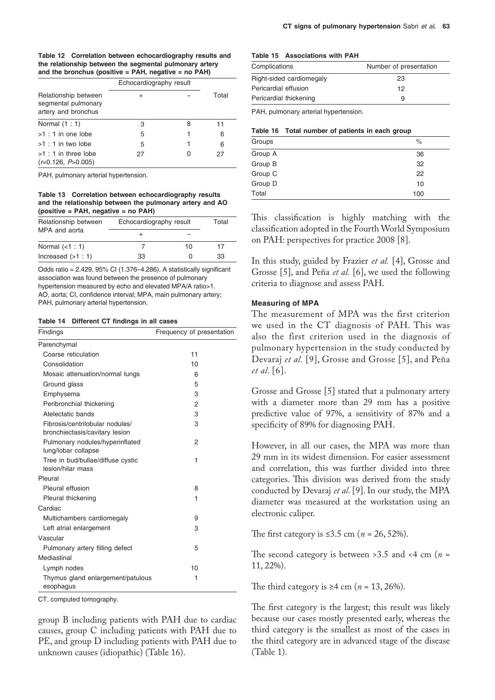| Table 12 Correlation between echocardiography results and |
|-----------------------------------------------------------|
| the relationship between the segmental pulmonary artery   |
| and the bronchus (positive $=$ PAH, negative $=$ no PAH)  |

|                                                                    | Echocardiography result |   |       |
|--------------------------------------------------------------------|-------------------------|---|-------|
| Relationship between<br>segmental pulmonary<br>artery and bronchus | ٠                       |   | Total |
| Normal $(1:1)$                                                     | 3                       | 8 | 11    |
| $>1:1$ in one lobe                                                 | 5                       |   | 6     |
| $>1:1$ in two lobe                                                 | 5                       |   | 6     |
| $>1:1$ in three lobe<br>$(r=0.126, P>0.005)$                       | 27                      |   | 27    |

PAH, pulmonary arterial hypertension.

#### **Table 13 Correlation between echocardiography results and the relationship between the pulmonary artery and AO (positive = PAH, negative = no PAH)**

| Relationship between | Echocardiography result | Total |    |
|----------------------|-------------------------|-------|----|
| MPA and aorta        |                         |       |    |
| Normal $(<1:1)$      |                         | 10    | 17 |
| Increased $(>1:1)$   | 33                      |       | 33 |

Odds ratio = 2.429, 95% CI (1.376–4.286). A statistically significant association was found between the presence of pulmonary hypertension measured by echo and elevated MPA/A ratio>1. AO, aorta; CI, confidence interval; MPA, main pulmonary artery; PAH, pulmonary arterial hypertension.

#### **Table 14 Different CT findings in all cases**

| Findings                                                          | Frequency of presentation |  |
|-------------------------------------------------------------------|---------------------------|--|
| Parenchymal                                                       |                           |  |
| Coarse reticulation                                               | 11                        |  |
| Consolidation                                                     | 10                        |  |
| Mosaic attenuation/normal lungs                                   | 6                         |  |
| Ground glass                                                      | 5                         |  |
| Emphysema                                                         | 3                         |  |
| Peribronchial thickening                                          | $\overline{2}$            |  |
| Atelectatic bands                                                 | 3                         |  |
| Fibrosis/centrilobular nodules/<br>bronchiectasis/cavitary lesion | 3                         |  |
| Pulmonary nodules/hyperinflated<br>lung/lobar collapse            | 2                         |  |
| Tree in bud/bullae/diffuse cystic<br>lesion/hilar mass            | 1                         |  |
| Pleural                                                           |                           |  |
| Pleural effusion                                                  | 8                         |  |
| Pleural thickening                                                | 1                         |  |
| Cardiac                                                           |                           |  |
| Multichambers cardiomegaly                                        | 9                         |  |
| Left atrial enlargement                                           | 3                         |  |
| Vascular                                                          |                           |  |
| Pulmonary artery filling defect                                   | 5                         |  |
| Mediastinal                                                       |                           |  |
| Lymph nodes                                                       | 10                        |  |
| Thymus gland enlargement/patulous<br>esophagus                    | 1                         |  |

CT, computed tomography.

group B including patients with PAH due to cardiac causes, group C including patients with PAH due to PE, and group D including patients with PAH due to unknown causes (idiopathic) (Table 16).

#### **Table 15 Associations with PAH**

| Complications            | Number of presentation |
|--------------------------|------------------------|
| Right-sided cardiomegaly | 23                     |
| Pericardial effusion     | 12                     |
| Pericardial thickening   | 9                      |

PAH, pulmonary arterial hypertension.

|  |  | Table 16 Total number of patients in each group |
|--|--|-------------------------------------------------|
|--|--|-------------------------------------------------|

| Groups  | $\%$ |
|---------|------|
| Group A | 36   |
| Group B | 32   |
| Group C | 22   |
| Group D | 10   |
| Total   | 100  |

This classification is highly matching with the classification adopted in the Fourth World Symposium on PAH: perspectives for practice 2008 [8].

In this study, guided by Frazier *et al.* [4], Grosse and Grosse [5], and Peña *et al.* [6], we used the following criteria to diagnose and assess PAH.

#### **Measuring of MPA**

The measurement of MPA was the first criterion we used in the CT diagnosis of PAH. This was also the first criterion used in the diagnosis of pulmonary hypertension in the study conducted by Devaraj *et al.* [9], Grosse and Grosse [5], and Peña *et al*. [6].

Grosse and Grosse [5] stated that a pulmonary artery with a diameter more than 29 mm has a positive predictive value of 97%, a sensitivity of 87% and a specificity of 89% for diagnosing PAH.

However, in all our cases, the MPA was more than 29 mm in its widest dimension. For easier assessment and correlation, this was further divided into three categories. This division was derived from the study conducted by Devaraj *et al*. [9]. In our study, the MPA diameter was measured at the workstation using an electronic caliper.

The first category is ≤3.5 cm (*n* = 26, 52%).

The second category is between >3.5 and <4 cm (*n* = 11, 22%).

The third category is  $\geq 4$  cm ( $n = 13, 26\%$ ).

The first category is the largest; this result was likely because our cases mostly presented early, whereas the third category is the smallest as most of the cases in the third category are in advanced stage of the disease (Table 1).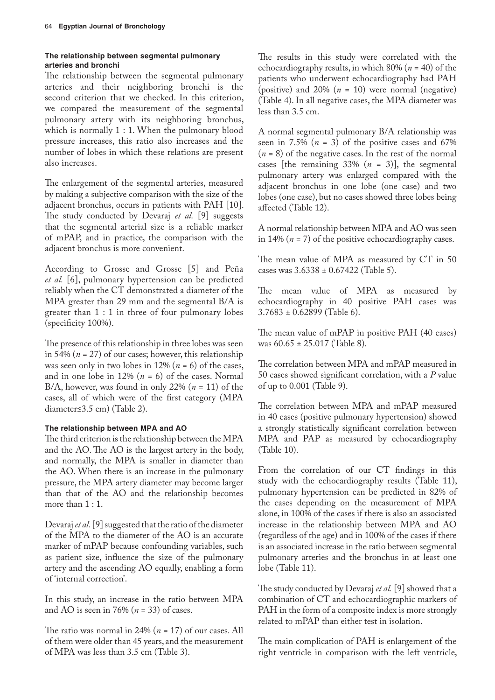# **The relationship between segmental pulmonary arteries and bronchi**

The relationship between the segmental pulmonary arteries and their neighboring bronchi is the second criterion that we checked. In this criterion, we compared the measurement of the segmental pulmonary artery with its neighboring bronchus, which is normally 1 : 1. When the pulmonary blood pressure increases, this ratio also increases and the number of lobes in which these relations are present also increases.

The enlargement of the segmental arteries, measured by making a subjective comparison with the size of the adjacent bronchus, occurs in patients with PAH [10]. The study conducted by Devaraj *et al.* [9] suggests that the segmental arterial size is a reliable marker of mPAP, and in practice, the comparison with the adjacent bronchus is more convenient.

According to Grosse and Grosse [5] and Peña *et al.* [6], pulmonary hypertension can be predicted reliably when the CT demonstrated a diameter of the MPA greater than 29 mm and the segmental B/A is greater than 1 : 1 in three of four pulmonary lobes (specificity 100%).

The presence of this relationship in three lobes was seen in 54% (*n* = 27) of our cases; however, this relationship was seen only in two lobes in 12% ( $n = 6$ ) of the cases, and in one lobe in 12%  $(n = 6)$  of the cases. Normal B/A, however, was found in only 22% ( $n = 11$ ) of the cases, all of which were of the first category (MPA diameter≤3.5 cm) (Table 2).

# **The relationship between MPA and AO**

The third criterion is the relationship between the MPA and the AO. The AO is the largest artery in the body, and normally, the MPA is smaller in diameter than the AO. When there is an increase in the pulmonary pressure, the MPA artery diameter may become larger than that of the AO and the relationship becomes more than  $1:1$ .

Devaraj *et al.* [9] suggested that the ratio of the diameter of the MPA to the diameter of the AO is an accurate marker of mPAP because confounding variables, such as patient size, influence the size of the pulmonary artery and the ascending AO equally, enabling a form of 'internal correction'.

In this study, an increase in the ratio between MPA and AO is seen in 76% (*n* = 33) of cases.

The ratio was normal in 24% (*n* = 17) of our cases. All of them were older than 45 years, and the measurement of MPA was less than 3.5 cm (Table 3).

The results in this study were correlated with the echocardiography results, in which 80% (*n* = 40) of the patients who underwent echocardiography had PAH (positive) and  $20\%$  ( $n = 10$ ) were normal (negative) (Table 4). In all negative cases, the MPA diameter was less than 3.5 cm.

A normal segmental pulmonary B/A relationship was seen in 7.5%  $(n = 3)$  of the positive cases and 67%  $(n = 8)$  of the negative cases. In the rest of the normal cases [the remaining  $33\%$  ( $n = 3$ )], the segmental pulmonary artery was enlarged compared with the adjacent bronchus in one lobe (one case) and two lobes (one case), but no cases showed three lobes being affected (Table 12).

A normal relationship between MPA and AO was seen in 14% (*n* = 7) of the positive echocardiography cases.

The mean value of MPA as measured by CT in 50 cases was 3.6338 ± 0.67422 (Table 5).

The mean value of MPA as measured by echocardiography in 40 positive PAH cases was 3.7683 ± 0.62899 (Table 6).

The mean value of mPAP in positive PAH (40 cases) was 60.65 ± 25.017 (Table 8).

The correlation between MPA and mPAP measured in 50 cases showed significant correlation, with a *P* value of up to 0.001 (Table 9).

The correlation between MPA and mPAP measured in 40 cases (positive pulmonary hypertension) showed a strongly statistically significant correlation between MPA and PAP as measured by echocardiography (Table 10).

From the correlation of our CT findings in this study with the echocardiography results (Table 11), pulmonary hypertension can be predicted in 82% of the cases depending on the measurement of MPA alone, in 100% of the cases if there is also an associated increase in the relationship between MPA and AO (regardless of the age) and in 100% of the cases if there is an associated increase in the ratio between segmental pulmonary arteries and the bronchus in at least one lobe (Table 11).

The study conducted by Devaraj *et al.* [9] showed that a combination of CT and echocardiographic markers of PAH in the form of a composite index is more strongly related to mPAP than either test in isolation.

The main complication of PAH is enlargement of the right ventricle in comparison with the left ventricle,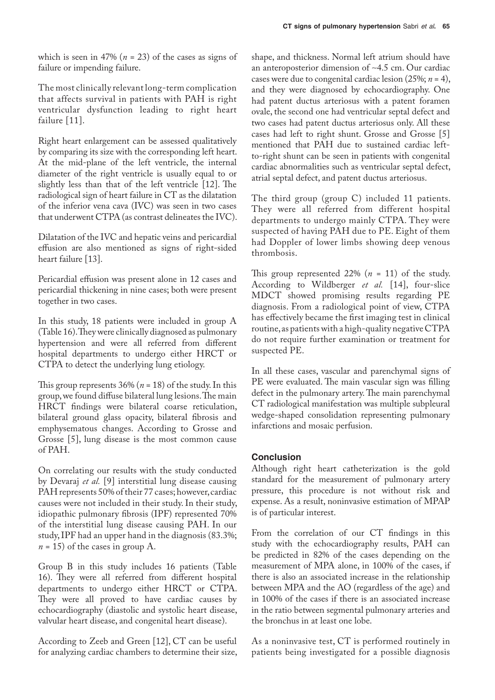which is seen in 47% ( $n = 23$ ) of the cases as signs of failure or impending failure.

The most clinically relevant long-term complication that affects survival in patients with PAH is right ventricular dysfunction leading to right heart failure [11].

Right heart enlargement can be assessed qualitatively by comparing its size with the corresponding left heart. At the mid-plane of the left ventricle, the internal diameter of the right ventricle is usually equal to or slightly less than that of the left ventricle [12]. The radiological sign of heart failure in CT as the dilatation of the inferior vena cava (IVC) was seen in two cases that underwent CTPA (as contrast delineates the IVC).

Dilatation of the IVC and hepatic veins and pericardial effusion are also mentioned as signs of right-sided heart failure [13].

Pericardial effusion was present alone in 12 cases and pericardial thickening in nine cases; both were present together in two cases.

In this study, 18 patients were included in group A (Table 16). They were clinically diagnosed as pulmonary hypertension and were all referred from different hospital departments to undergo either HRCT or CTPA to detect the underlying lung etiology.

This group represents 36% (*n* = 18) of the study. In this group, we found diffuse bilateral lung lesions. The main HRCT findings were bilateral coarse reticulation, bilateral ground glass opacity, bilateral fibrosis and emphysematous changes. According to Grosse and Grosse [5], lung disease is the most common cause of PAH.

On correlating our results with the study conducted by Devaraj *et al.* [9] interstitial lung disease causing PAH represents 50% of their 77 cases; however, cardiac causes were not included in their study. In their study, idiopathic pulmonary fibrosis (IPF) represented 70% of the interstitial lung disease causing PAH. In our study, IPF had an upper hand in the diagnosis (83.3%;  $n = 15$ ) of the cases in group A.

Group B in this study includes 16 patients (Table 16). They were all referred from different hospital departments to undergo either HRCT or CTPA. They were all proved to have cardiac causes by echocardiography (diastolic and systolic heart disease, valvular heart disease, and congenital heart disease).

According to Zeeb and Green [12], CT can be useful for analyzing cardiac chambers to determine their size,

shape, and thickness. Normal left atrium should have an anteroposterior dimension of ∼4.5 cm. Our cardiac cases were due to congenital cardiac lesion (25%; *n* = 4), and they were diagnosed by echocardiography. One had patent ductus arteriosus with a patent foramen ovale, the second one had ventricular septal defect and two cases had patent ductus arteriosus only. All these cases had left to right shunt. Grosse and Grosse [5] mentioned that PAH due to sustained cardiac leftto-right shunt can be seen in patients with congenital cardiac abnormalities such as ventricular septal defect, atrial septal defect, and patent ductus arteriosus.

The third group (group C) included 11 patients. They were all referred from different hospital departments to undergo mainly CTPA. They were suspected of having PAH due to PE. Eight of them had Doppler of lower limbs showing deep venous thrombosis.

This group represented 22% (*n* = 11) of the study. According to Wildberger *et al.* [14], four-slice MDCT showed promising results regarding PE diagnosis. From a radiological point of view, CTPA has effectively became the first imaging test in clinical routine, as patients with a high-quality negative CTPA do not require further examination or treatment for suspected PE.

In all these cases, vascular and parenchymal signs of PE were evaluated. The main vascular sign was filling defect in the pulmonary artery. The main parenchymal CT radiological manifestation was multiple subpleural wedge-shaped consolidation representing pulmonary infarctions and mosaic perfusion.

# **Conclusion**

Although right heart catheterization is the gold standard for the measurement of pulmonary artery pressure, this procedure is not without risk and expense. As a result, noninvasive estimation of MPAP is of particular interest.

From the correlation of our CT findings in this study with the echocardiography results, PAH can be predicted in 82% of the cases depending on the measurement of MPA alone, in 100% of the cases, if there is also an associated increase in the relationship between MPA and the AO (regardless of the age) and in 100% of the cases if there is an associated increase in the ratio between segmental pulmonary arteries and the bronchus in at least one lobe.

As a noninvasive test, CT is performed routinely in patients being investigated for a possible diagnosis